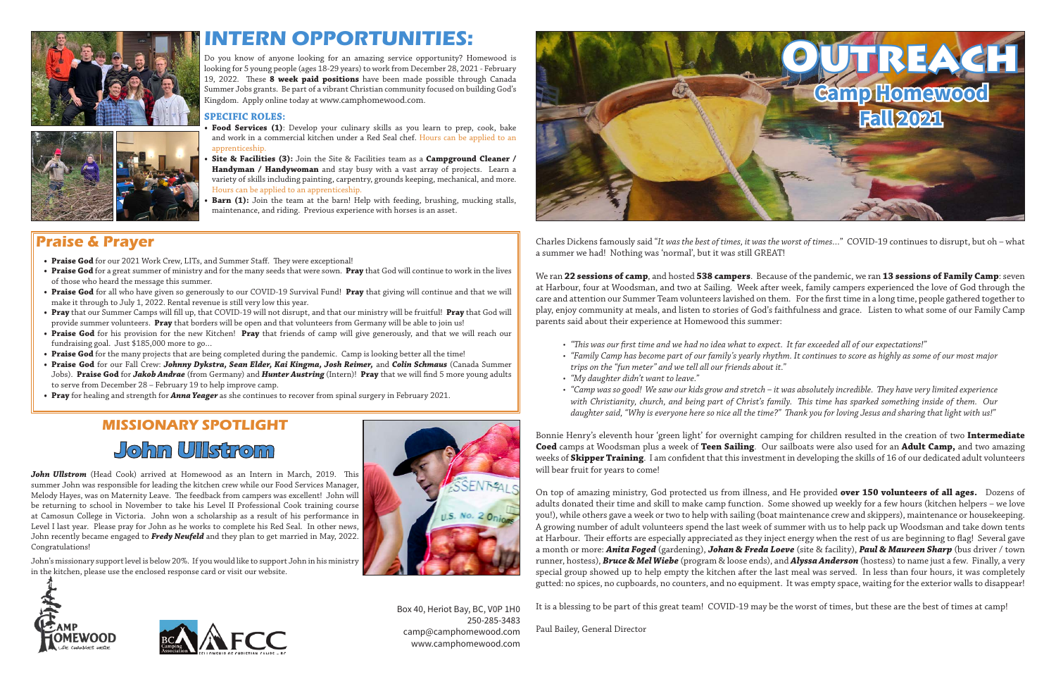Charles Dickens famously said "*It was the best of times, it was the worst of times…*" COVID-19 continues to disrupt, but oh – what a summer we had! Nothing was 'normal', but it was still GREAT!

We ran **22 sessions of camp**, and hosted **538 campers**. Because of the pandemic, we ran **13 sessions of Family Camp**: seven at Harbour, four at Woodsman, and two at Sailing. Week after week, family campers experienced the love of God through the care and attention our Summer Team volunteers lavished on them. For the first time in a long time, people gathered together to play, enjoy community at meals, and listen to stories of God's faithfulness and grace. Listen to what some of our Family Camp parents said about their experience at Homewood this summer:

• *"Camp was so good! We saw our kids grow and stretch – it was absolutely incredible. They have very limited experience with Christianity, church, and being part of Christ's family. This time has sparked something inside of them. Our daughter said, "Why is everyone here so nice all the time?" Thank you for loving Jesus and sharing that light with us!"*

- *• "This was our first time and we had no idea what to expect. It far exceeded all of our expectations!"*
- *trips on the "fun meter" and we tell all our friends about it."*
- *• "My daughter didn't want to leave."*
- 

*• "Family Camp has become part of our family's yearly rhythm. It continues to score as highly as some of our most major* 

Bonnie Henry's eleventh hour 'green light' for overnight camping for children resulted in the creation of two **Intermediate Coed** camps at Woodsman plus a week of **Teen Sailing**. Our sailboats were also used for an **Adult Camp,** and two amazing weeks of **Skipper Training**. I am confident that this investment in developing the skills of 16 of our dedicated adult volunteers will bear fruit for years to come!

On top of amazing ministry, God protected us from illness, and He provided **over 150 volunteers of all ages.** Dozens of adults donated their time and skill to make camp function. Some showed up weekly for a few hours (kitchen helpers – we love you!), while others gave a week or two to help with sailing (boat maintenance crew and skippers), maintenance or housekeeping. A growing number of adult volunteers spend the last week of summer with us to help pack up Woodsman and take down tents at Harbour. Their efforts are especially appreciated as they inject energy when the rest of us are beginning to flag! Several gave a month or more: *Anita Foged* (gardening), *Johan & Freda Loeve* (site & facility), *Paul & Maureen Sharp* (bus driver / town runner, hostess), *Bruce & Mel Wiebe* (program & loose ends), and *Alyssa Anderson* (hostess) to name just a few. Finally, a very special group showed up to help empty the kitchen after the last meal was served. In less than four hours, it was completely gutted: no spices, no cupboards, no counters, and no equipment. It was empty space, waiting for the exterior walls to disappear!

- **Food Services (1)**: Develop your culinary skills as you learn to prep, cook, bake and work in a commercial kitchen under a Red Seal chef. Hours can be applied to an apprenticeship.
- **• Site & Facilities (3):** Join the Site & Facilities team as a **Campground Cleaner / Handyman / Handywoman** and stay busy with a vast array of projects. Learn a variety of skills including painting, carpentry, grounds keeping, mechanical, and more. Hours can be applied to an apprenticeship.
- **Barn (1):** Join the team at the barn! Help with feeding, brushing, mucking stalls, maintenance, and riding. Previous experience with horses is an asset.

It is a blessing to be part of this great team! COVID-19 may be the worst of times, but these are the best of times at camp!

Paul Bailey, General Director





Box 40, Heriot Bay, BC, V0P 1H0 250-285-3483 camp@camphomewood.com www.camphomewood.com

### **MISSIONARY SPOTLIGHT John Ullstrom**

*John Ullstrom* (Head Cook) arrived at Homewood as an Intern in March, 2019. This summer John was responsible for leading the kitchen crew while our Food Services Manager, Melody Hayes, was on Maternity Leave. The feedback from campers was excellent! John will be returning to school in November to take his Level II Professional Cook training course at Camosun College in Victoria. John won a scholarship as a result of his performance in Level I last year. Please pray for John as he works to complete his Red Seal. In other news, John recently became engaged to *Fredy Neufeld* and they plan to get married in May, 2022. Congratulations!

John's missionary support level is below 20%. If you would like to support John in his ministry in the kitchen, please use the enclosed response card or visit our website.









# **INTERN OPPORTUNITIES:**

Do you know of anyone looking for an amazing service opportunity? Homewood is looking for 5 young people (ages 18-29 years) to work from December 28, 2021 - February 19, 2022. These **8 week paid positions** have been made possible through Canada Summer Jobs grants.Be part of a vibrant Christian community focused on building God's Kingdom. Apply online today at www.camphomewood.com.

#### **SPECIFIC ROLES:**

#### **Praise & Prayer**

- **• Praise God** for our 2021 Work Crew, LITs, and Summer Staff. They were exceptional!
- **• Praise God** for a great summer of ministry and for the many seeds that were sown. **Pray** that God will continue to work in the lives of those who heard the message this summer.
- **• Praise God** for all who have given so generously to our COVID-19 Survival Fund! **Pray** that giving will continue and that we will make it through to July 1, 2022. Rental revenue is still very low this year.
- **• Pray** that our Summer Camps will fill up, that COVID-19 will not disrupt, and that our ministry will be fruitful! **Pray** that God will provide summer volunteers. **Pray** that borders will be open and that volunteers from Germany will be able to join us!
- **• Praise God** for his provision for the new Kitchen! **Pray** that friends of camp will give generously, and that we will reach our fundraising goal. Just \$185,000 more to go…
- **• Praise God** for the many projects that are being completed during the pandemic. Camp is looking better all the time!
- **• Praise God** for our Fall Crew: *Johnny Dykstra, Sean Elder, Kai Kingma, Josh Reimer,* and *Colin Schmaus* (Canada Summer Jobs). **Praise God** for *Jakob Andrae* (from Germany) and *Hunter Austring* (Intern)! **Pray** that we will find 5 more young adults to serve from December 28 – February 19 to help improve camp.
- **• Pray** for healing and strength for *Anna Yeager* as she continues to recover from spinal surgery in February 2021.